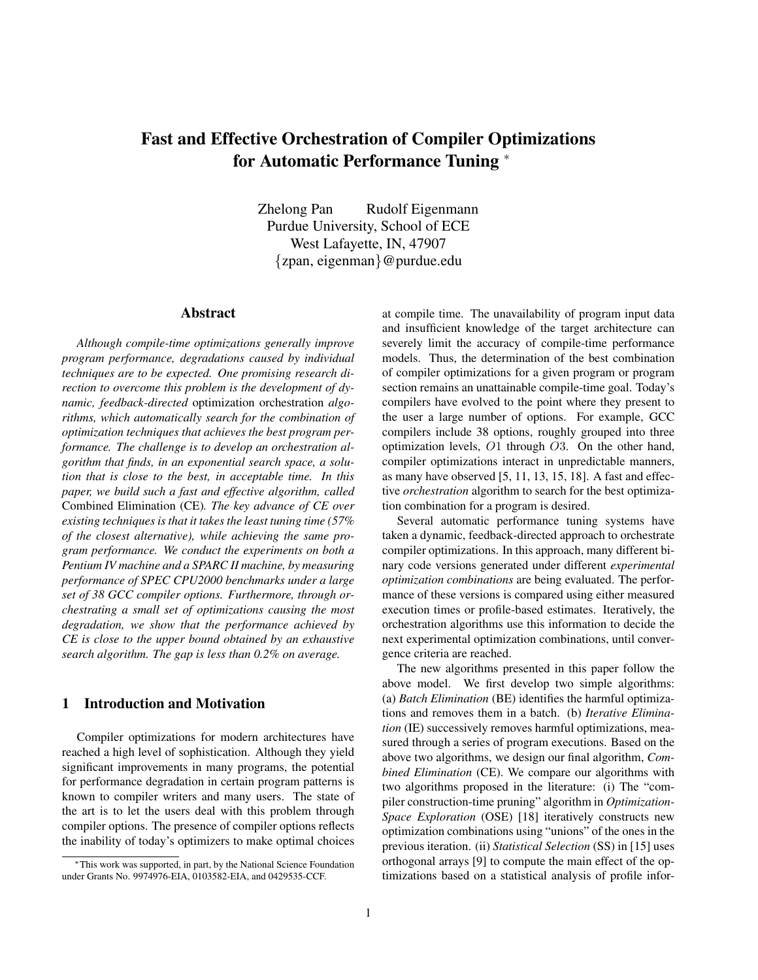### **Fast and Effective Orchestration of Compiler Optimizations for Automatic Performance Tuning** <sup>∗</sup>

Zhelong Pan Rudolf Eigenmann Purdue University, School of ECE West Lafayette, IN, 47907 {zpan, eigenman}@purdue.edu

### **Abstract**

*Although compile-time optimizations generally improve program performance, degradations caused by individual techniques are to be expected. One promising research direction to overcome this problem is the development of dynamic, feedback-directed* optimization orchestration *algorithms, which automatically search for the combination of optimization techniques that achieves the best program performance. The challenge is to develop an orchestration algorithm that finds, in an exponential search space, a solution that is close to the best, in acceptable time. In this paper, we build such a fast and effective algorithm, called* Combined Elimination (CE)*. The key advance of CE over existing techniques is that it takes the least tuning time (57% of the closest alternative), while achieving the same program performance. We conduct the experiments on both a Pentium IV machine and a SPARC II machine, by measuring performance of SPEC CPU2000 benchmarks under a large set of 38 GCC compiler options. Furthermore, through orchestrating a small set of optimizations causing the most degradation, we show that the performance achieved by CE is close to the upper bound obtained by an exhaustive search algorithm. The gap is less than 0.2% on average.*

### **1 Introduction and Motivation**

Compiler optimizations for modern architectures have reached a high level of sophistication. Although they yield significant improvements in many programs, the potential for performance degradation in certain program patterns is known to compiler writers and many users. The state of the art is to let the users deal with this problem through compiler options. The presence of compiler options reflects the inability of today's optimizers to make optimal choices at compile time. The unavailability of program input data and insufficient knowledge of the target architecture can severely limit the accuracy of compile-time performance models. Thus, the determination of the best combination of compiler optimizations for a given program or program section remains an unattainable compile-time goal. Today's compilers have evolved to the point where they present to the user a large number of options. For example, GCC compilers include 38 options, roughly grouped into three optimization levels, O1 through O3. On the other hand, compiler optimizations interact in unpredictable manners, as many have observed [5, 11, 13, 15, 18]. A fast and effective *orchestration* algorithm to search for the best optimization combination for a program is desired.

Several automatic performance tuning systems have taken a dynamic, feedback-directed approach to orchestrate compiler optimizations. In this approach, many different binary code versions generated under different *experimental optimization combinations* are being evaluated. The performance of these versions is compared using either measured execution times or profile-based estimates. Iteratively, the orchestration algorithms use this information to decide the next experimental optimization combinations, until convergence criteria are reached.

The new algorithms presented in this paper follow the above model. We first develop two simple algorithms: (a) *Batch Elimination* (BE) identifies the harmful optimizations and removes them in a batch. (b) *Iterative Elimination* (IE) successively removes harmful optimizations, measured through a series of program executions. Based on the above two algorithms, we design our final algorithm, *Combined Elimination* (CE). We compare our algorithms with two algorithms proposed in the literature: (i) The "compiler construction-time pruning" algorithm in *Optimization-Space Exploration* (OSE) [18] iteratively constructs new optimization combinations using "unions" of the ones in the previous iteration. (ii) *Statistical Selection* (SS) in [15] uses orthogonal arrays [9] to compute the main effect of the optimizations based on a statistical analysis of profile infor-

<sup>∗</sup>This work was supported, in part, by the National Science Foundation under Grants No. 9974976-EIA, 0103582-EIA, and 0429535-CCF.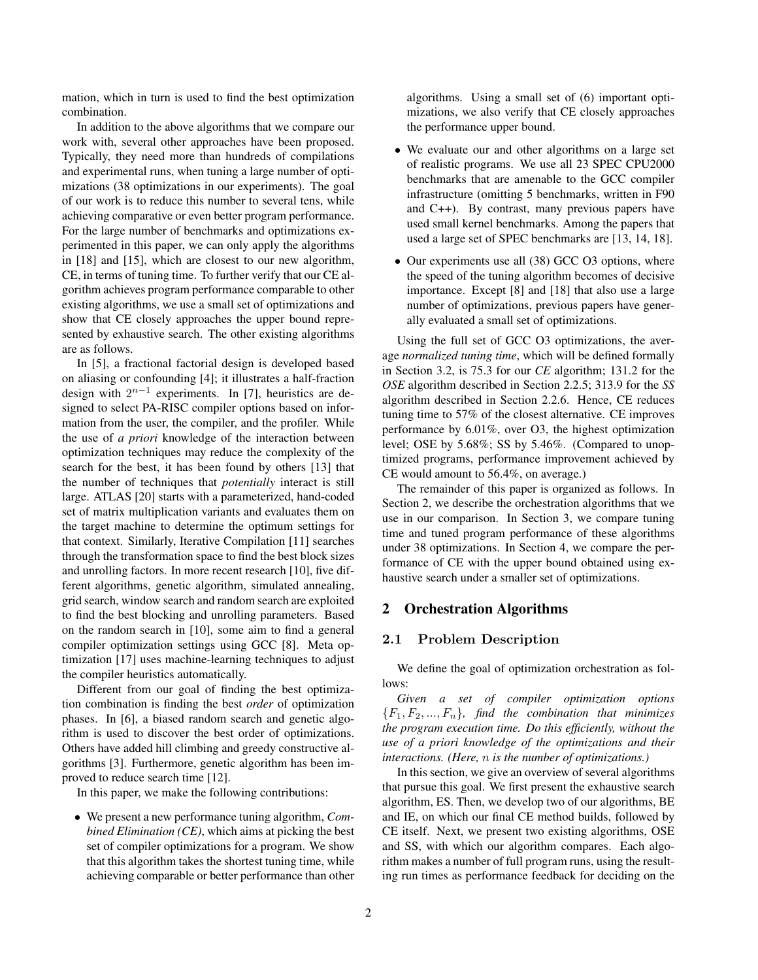mation, which in turn is used to find the best optimization combination.

In addition to the above algorithms that we compare our work with, several other approaches have been proposed. Typically, they need more than hundreds of compilations and experimental runs, when tuning a large number of optimizations (38 optimizations in our experiments). The goal of our work is to reduce this number to several tens, while achieving comparative or even better program performance. For the large number of benchmarks and optimizations experimented in this paper, we can only apply the algorithms in [18] and [15], which are closest to our new algorithm, CE, in terms of tuning time. To further verify that our CE algorithm achieves program performance comparable to other existing algorithms, we use a small set of optimizations and show that CE closely approaches the upper bound represented by exhaustive search. The other existing algorithms are as follows.

In [5], a fractional factorial design is developed based on aliasing or confounding [4]; it illustrates a half-fraction design with 2<sup>n</sup>*−*<sup>1</sup> experiments. In [7], heuristics are designed to select PA-RISC compiler options based on information from the user, the compiler, and the profiler. While the use of *a priori* knowledge of the interaction between optimization techniques may reduce the complexity of the search for the best, it has been found by others [13] that the number of techniques that *potentially* interact is still large. ATLAS [20] starts with a parameterized, hand-coded set of matrix multiplication variants and evaluates them on the target machine to determine the optimum settings for that context. Similarly, Iterative Compilation [11] searches through the transformation space to find the best block sizes and unrolling factors. In more recent research [10], five different algorithms, genetic algorithm, simulated annealing, grid search, window search and random search are exploited to find the best blocking and unrolling parameters. Based on the random search in [10], some aim to find a general compiler optimization settings using GCC [8]. Meta optimization [17] uses machine-learning techniques to adjust the compiler heuristics automatically.

Different from our goal of finding the best optimization combination is finding the best *order* of optimization phases. In [6], a biased random search and genetic algorithm is used to discover the best order of optimizations. Others have added hill climbing and greedy constructive algorithms [3]. Furthermore, genetic algorithm has been improved to reduce search time [12].

In this paper, we make the following contributions:

• We present a new performance tuning algorithm, *Combined Elimination (CE)*, which aims at picking the best set of compiler optimizations for a program. We show that this algorithm takes the shortest tuning time, while achieving comparable or better performance than other algorithms. Using a small set of (6) important optimizations, we also verify that CE closely approaches the performance upper bound.

- We evaluate our and other algorithms on a large set of realistic programs. We use all 23 SPEC CPU2000 benchmarks that are amenable to the GCC compiler infrastructure (omitting 5 benchmarks, written in F90 and C++). By contrast, many previous papers have used small kernel benchmarks. Among the papers that used a large set of SPEC benchmarks are [13, 14, 18].
- Our experiments use all (38) GCC O3 options, where the speed of the tuning algorithm becomes of decisive importance. Except [8] and [18] that also use a large number of optimizations, previous papers have generally evaluated a small set of optimizations.

Using the full set of GCC O3 optimizations, the average *normalized tuning time*, which will be defined formally in Section 3.2, is 75.3 for our *CE* algorithm; 131.2 for the *OSE* algorithm described in Section 2.2.5; 313.9 for the *SS* algorithm described in Section 2.2.6. Hence, CE reduces tuning time to 57% of the closest alternative. CE improves performance by 6.01%, over O3, the highest optimization level; OSE by 5.68%; SS by 5.46%. (Compared to unoptimized programs, performance improvement achieved by CE would amount to 56.4%, on average.)

The remainder of this paper is organized as follows. In Section 2, we describe the orchestration algorithms that we use in our comparison. In Section 3, we compare tuning time and tuned program performance of these algorithms under 38 optimizations. In Section 4, we compare the performance of CE with the upper bound obtained using exhaustive search under a smaller set of optimizations.

### **2 Orchestration Algorithms**

### **2.1 Problem Description**

We define the goal of optimization orchestration as follows:

*Given a set of compiler optimization options*  ${F_1, F_2, ..., F_n}$ *, find the combination that minimizes the program execution time. Do this efficiently, without the use of a priori knowledge of the optimizations and their interactions. (Here,* n *is the number of optimizations.)*

In this section, we give an overview of several algorithms that pursue this goal. We first present the exhaustive search algorithm, ES. Then, we develop two of our algorithms, BE and IE, on which our final CE method builds, followed by CE itself. Next, we present two existing algorithms, OSE and SS, with which our algorithm compares. Each algorithm makes a number of full program runs, using the resulting run times as performance feedback for deciding on the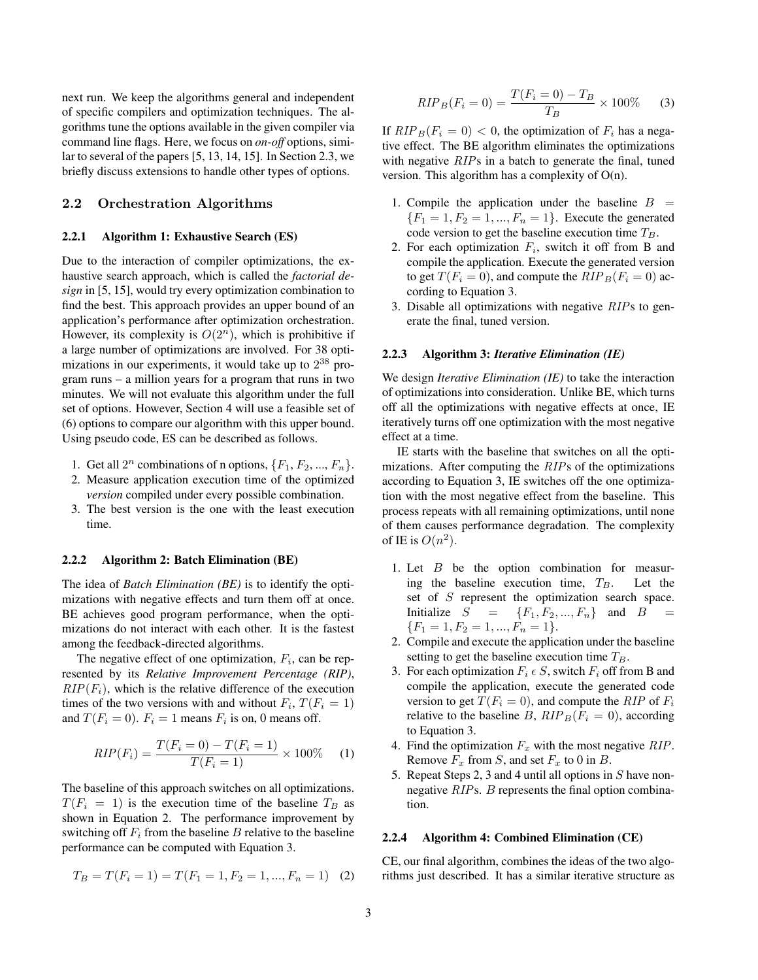next run. We keep the algorithms general and independent of specific compilers and optimization techniques. The algorithms tune the options available in the given compiler via command line flags. Here, we focus on *on-off* options, similar to several of the papers [5, 13, 14, 15]. In Section 2.3, we briefly discuss extensions to handle other types of options.

### **2.2 Orchestration Algorithms**

### **2.2.1 Algorithm 1: Exhaustive Search (ES)**

Due to the interaction of compiler optimizations, the exhaustive search approach, which is called the *factorial design* in [5, 15], would try every optimization combination to find the best. This approach provides an upper bound of an application's performance after optimization orchestration. However, its complexity is  $O(2<sup>n</sup>)$ , which is prohibitive if a large number of optimizations are involved. For 38 optimizations in our experiments, it would take up to 2<sup>38</sup> program runs – a million years for a program that runs in two minutes. We will not evaluate this algorithm under the full set of options. However, Section 4 will use a feasible set of (6) options to compare our algorithm with this upper bound. Using pseudo code, ES can be described as follows.

- 1. Get all  $2^n$  combinations of n options,  $\{F_1, F_2, ..., F_n\}$ .
- 2. Measure application execution time of the optimized *version* compiled under every possible combination.
- 3. The best version is the one with the least execution time.

### **2.2.2 Algorithm 2: Batch Elimination (BE)**

The idea of *Batch Elimination (BE)* is to identify the optimizations with negative effects and turn them off at once. BE achieves good program performance, when the optimizations do not interact with each other. It is the fastest among the feedback-directed algorithms.

The negative effect of one optimization,  $F_i$ , can be represented by its *Relative Improvement Percentage (RIP)*,  $RIP(F<sub>i</sub>)$ , which is the relative difference of the execution times of the two versions with and without  $F_i$ ,  $T(F_i = 1)$ and  $T(F_i = 0)$ .  $F_i = 1$  means  $F_i$  is on, 0 means off.

$$
RIP(F_i) = \frac{T(F_i = 0) - T(F_i = 1)}{T(F_i = 1)} \times 100\% \tag{1}
$$

The baseline of this approach switches on all optimizations.  $T(F_i = 1)$  is the execution time of the baseline  $T_B$  as shown in Equation 2. The performance improvement by switching off  $F_i$  from the baseline B relative to the baseline performance can be computed with Equation 3.

$$
T_B = T(F_i = 1) = T(F_1 = 1, F_2 = 1, ..., F_n = 1) \tag{2}
$$

$$
RIP_B(F_i = 0) = \frac{T(F_i = 0) - T_B}{T_B} \times 100\% \tag{3}
$$

If  $RIP_B(F_i = 0) < 0$ , the optimization of  $F_i$  has a negative effect. The BE algorithm eliminates the optimizations with negative *RIP*s in a batch to generate the final, tuned version. This algorithm has a complexity of O(n).

- 1. Compile the application under the baseline  $B =$  ${F_1 = 1, F_2 = 1, ..., F_n = 1}.$  Execute the generated code version to get the baseline execution time  $T_B$ .
- 2. For each optimization  $F_i$ , switch it off from B and compile the application. Execute the generated version to get  $T(F_i = 0)$ , and compute the  $RIP_B(F_i = 0)$  according to Equation 3.
- 3. Disable all optimizations with negative *RIP*s to generate the final, tuned version.

### **2.2.3 Algorithm 3:** *Iterative Elimination (IE)*

We design *Iterative Elimination (IE)* to take the interaction of optimizations into consideration. Unlike BE, which turns off all the optimizations with negative effects at once, IE iteratively turns off one optimization with the most negative effect at a time.

IE starts with the baseline that switches on all the optimizations. After computing the *RIP*s of the optimizations according to Equation 3, IE switches off the one optimization with the most negative effect from the baseline. This process repeats with all remaining optimizations, until none of them causes performance degradation. The complexity of IE is  $O(n^2)$ .

- 1. Let  $B$  be the option combination for measuring the baseline execution time,  $T_B$ . Let the set of S represent the optimization search space. Initialize  $S = \{F_1, F_2, ..., F_n\}$  and  $B =$  ${F_1 = 1, F_2 = 1, ..., F_n = 1}.$
- 2. Compile and execute the application under the baseline setting to get the baseline execution time  $T_B$ .
- 3. For each optimization  $F_i \in S$ , switch  $F_i$  off from B and compile the application, execute the generated code version to get  $T(F_i = 0)$ , and compute the *RIP* of  $F_i$ relative to the baseline B,  $RIP_B(F_i = 0)$ , according to Equation 3.
- 4. Find the optimization  $F_x$  with the most negative  $RIP$ . Remove  $F_x$  from S, and set  $F_x$  to 0 in B.
- 5. Repeat Steps 2, 3 and 4 until all options in S have nonnegative *RIP*s. B represents the final option combination.

### **2.2.4 Algorithm 4: Combined Elimination (CE)**

CE, our final algorithm, combines the ideas of the two algorithms just described. It has a similar iterative structure as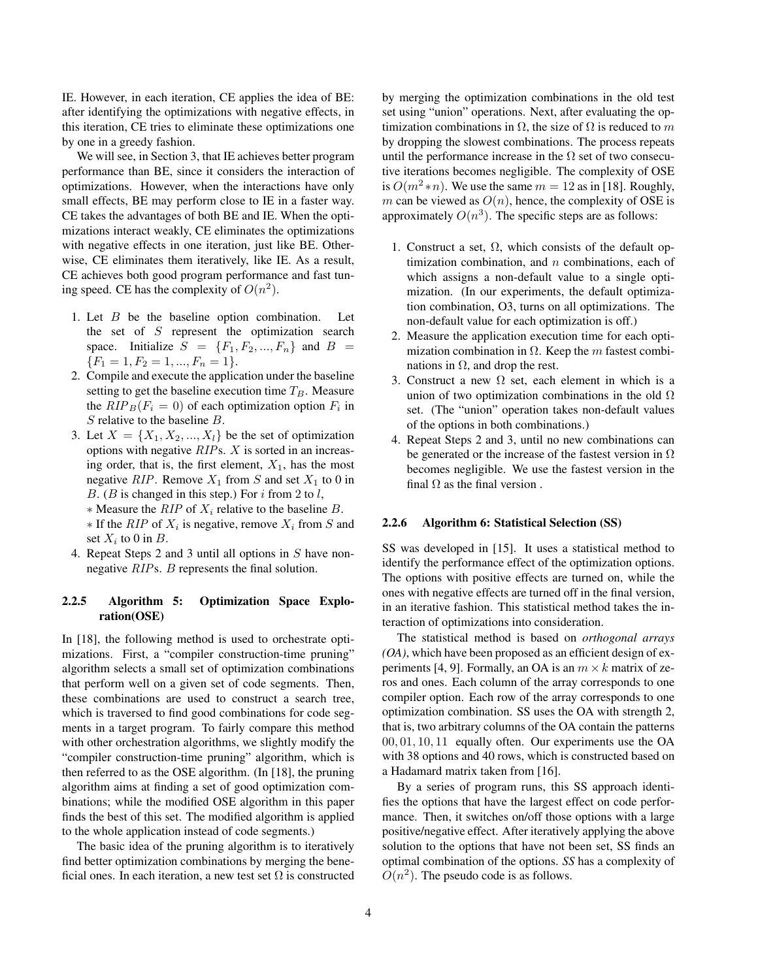IE. However, in each iteration, CE applies the idea of BE: after identifying the optimizations with negative effects, in this iteration, CE tries to eliminate these optimizations one by one in a greedy fashion.

We will see, in Section 3, that IE achieves better program performance than BE, since it considers the interaction of optimizations. However, when the interactions have only small effects, BE may perform close to IE in a faster way. CE takes the advantages of both BE and IE. When the optimizations interact weakly, CE eliminates the optimizations with negative effects in one iteration, just like BE. Otherwise, CE eliminates them iteratively, like IE. As a result, CE achieves both good program performance and fast tuning speed. CE has the complexity of  $O(n^2)$ .

- 1. Let  $B$  be the baseline option combination. Let the set of  $S$  represent the optimization search space. Initialize  $S = \{F_1, F_2, ..., F_n\}$  and  $B =$  ${F_1 = 1, F_2 = 1, ..., F_n = 1}.$
- 2. Compile and execute the application under the baseline setting to get the baseline execution time  $T_B$ . Measure the  $RIP_B(F_i = 0)$  of each optimization option  $F_i$  in S relative to the baseline B.
- 3. Let  $X = \{X_1, X_2, ..., X_l\}$  be the set of optimization options with negative *RIP*s. X is sorted in an increasing order, that is, the first element,  $X_1$ , has the most negative *RIP*. Remove  $X_1$  from S and set  $X_1$  to 0 in B. (B is changed in this step.) For  $i$  from 2 to  $l$ ,
	- ∗ Measure the *RIP* of X<sup>i</sup> relative to the baseline B.  $*$  If the *RIP* of  $X_i$  is negative, remove  $X_i$  from S and set  $X_i$  to 0 in B.
- 4. Repeat Steps 2 and 3 until all options in S have nonnegative *RIP*s. B represents the final solution.

### **2.2.5 Algorithm 5: Optimization Space Exploration(OSE)**

In [18], the following method is used to orchestrate optimizations. First, a "compiler construction-time pruning" algorithm selects a small set of optimization combinations that perform well on a given set of code segments. Then, these combinations are used to construct a search tree, which is traversed to find good combinations for code segments in a target program. To fairly compare this method with other orchestration algorithms, we slightly modify the "compiler construction-time pruning" algorithm, which is then referred to as the OSE algorithm. (In [18], the pruning algorithm aims at finding a set of good optimization combinations; while the modified OSE algorithm in this paper finds the best of this set. The modified algorithm is applied to the whole application instead of code segments.)

The basic idea of the pruning algorithm is to iteratively find better optimization combinations by merging the beneficial ones. In each iteration, a new test set  $\Omega$  is constructed by merging the optimization combinations in the old test set using "union" operations. Next, after evaluating the optimization combinations in  $\Omega$ , the size of  $\Omega$  is reduced to m by dropping the slowest combinations. The process repeats until the performance increase in the  $\Omega$  set of two consecutive iterations becomes negligible. The complexity of OSE is  $O(m^2 * n)$ . We use the same  $m = 12$  as in [18]. Roughly, m can be viewed as  $O(n)$ , hence, the complexity of OSE is approximately  $O(n^3)$ . The specific steps are as follows:

- 1. Construct a set,  $\Omega$ , which consists of the default optimization combination, and  $n$  combinations, each of which assigns a non-default value to a single optimization. (In our experiments, the default optimization combination, O3, turns on all optimizations. The non-default value for each optimization is off.)
- 2. Measure the application execution time for each optimization combination in  $\Omega$ . Keep the m fastest combinations in  $Ω$ , and drop the rest.
- 3. Construct a new  $\Omega$  set, each element in which is a union of two optimization combinations in the old  $\Omega$ set. (The "union" operation takes non-default values of the options in both combinations.)
- 4. Repeat Steps 2 and 3, until no new combinations can be generated or the increase of the fastest version in  $\Omega$ becomes negligible. We use the fastest version in the final  $\Omega$  as the final version.

### **2.2.6 Algorithm 6: Statistical Selection (SS)**

SS was developed in [15]. It uses a statistical method to identify the performance effect of the optimization options. The options with positive effects are turned on, while the ones with negative effects are turned off in the final version, in an iterative fashion. This statistical method takes the interaction of optimizations into consideration.

The statistical method is based on *orthogonal arrays (OA)*, which have been proposed as an efficient design of experiments [4, 9]. Formally, an OA is an  $m \times k$  matrix of zeros and ones. Each column of the array corresponds to one compiler option. Each row of the array corresponds to one optimization combination. SS uses the OA with strength 2, that is, two arbitrary columns of the OA contain the patterns 00, 01, 10, 11 equally often. Our experiments use the OA with 38 options and 40 rows, which is constructed based on a Hadamard matrix taken from [16].

By a series of program runs, this SS approach identifies the options that have the largest effect on code performance. Then, it switches on/off those options with a large positive/negative effect. After iteratively applying the above solution to the options that have not been set. SS finds an optimal combination of the options. *SS* has a complexity of  $O(n^2)$ . The pseudo code is as follows.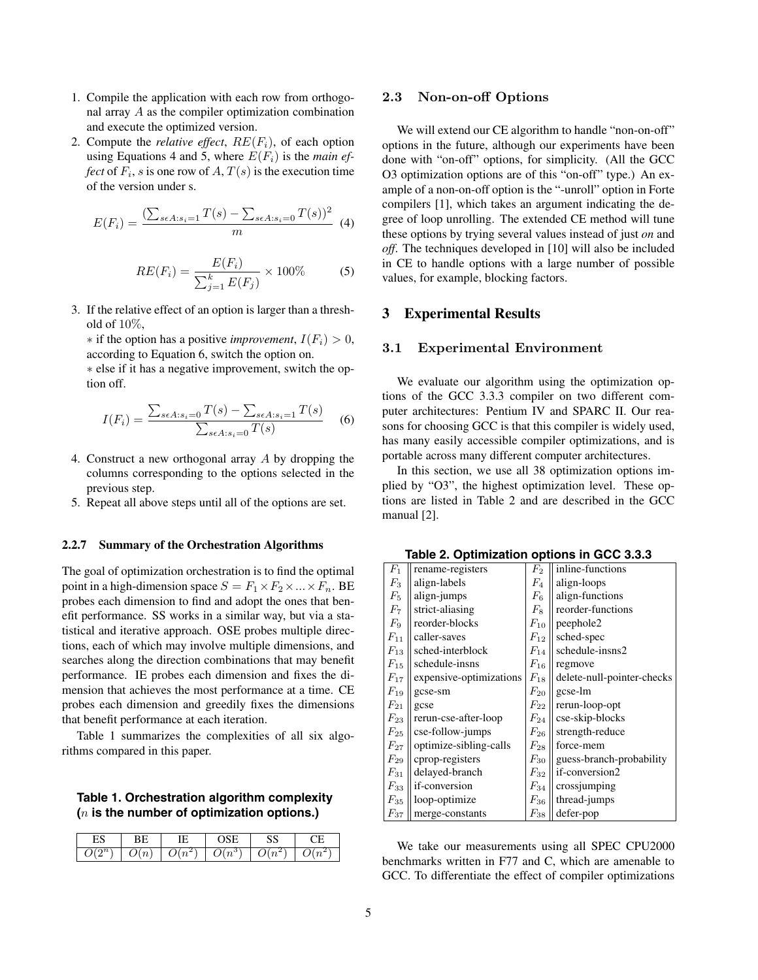- 1. Compile the application with each row from orthogonal array A as the compiler optimization combination and execute the optimized version.
- 2. Compute the *relative effect*,  $RE(F_i)$ , of each option using Equations 4 and 5, where  $E(F_i)$  is the *main effect* of  $F_i$ , *s* is one row of A,  $T(s)$  is the execution time of the version under s.

$$
E(F_i) = \frac{(\sum_{s \in A : s_i = 1} T(s) - \sum_{s \in A : s_i = 0} T(s))^2}{m}
$$
(4)

$$
RE(F_i) = \frac{E(F_i)}{\sum_{j=1}^{k} E(F_j)} \times 100\%
$$
 (5)

3. If the relative effect of an option is larger than a threshold of  $10\%$ .

 $*$  if the option has a positive *improvement*,  $I(F_i) > 0$ , according to Equation 6, switch the option on.

∗ else if it has a negative improvement, switch the option off.

$$
I(F_i) = \frac{\sum_{s \in A:s_i=0} T(s) - \sum_{s \in A:s_i=1} T(s)}{\sum_{s \in A:s_i=0} T(s)}
$$
 (6)

- 4. Construct a new orthogonal array A by dropping the columns corresponding to the options selected in the previous step.
- 5. Repeat all above steps until all of the options are set.

### **2.2.7 Summary of the Orchestration Algorithms**

The goal of optimization orchestration is to find the optimal point in a high-dimension space  $S = F_1 \times F_2 \times ... \times F_n$ . BE probes each dimension to find and adopt the ones that benefit performance. SS works in a similar way, but via a statistical and iterative approach. OSE probes multiple directions, each of which may involve multiple dimensions, and searches along the direction combinations that may benefit performance. IE probes each dimension and fixes the dimension that achieves the most performance at a time. CE probes each dimension and greedily fixes the dimensions that benefit performance at each iteration.

Table 1 summarizes the complexities of all six algorithms compared in this paper.

### **Table 1. Orchestration algorithm complexity (**n **is the number of optimization options.)**

|   | ╾ |   |         | ∼ |   |
|---|---|---|---------|---|---|
| ∽ | ◡ | ∽ | د.<br>∽ | ◡ | ÷ |

## **2.3 Non-on-off Options**

We will extend our CE algorithm to handle "non-on-off" options in the future, although our experiments have been done with "on-off" options, for simplicity. (All the GCC O3 optimization options are of this "on-off" type.) An example of a non-on-off option is the "-unroll" option in Forte compilers [1], which takes an argument indicating the degree of loop unrolling. The extended CE method will tune these options by trying several values instead of just *on* and *off*. The techniques developed in [10] will also be included in CE to handle options with a large number of possible values, for example, blocking factors.

### **3 Experimental Results**

# **3.1 Experimental Environment**

We evaluate our algorithm using the optimization options of the GCC 3.3.3 compiler on two different computer architectures: Pentium IV and SPARC II. Our reasons for choosing GCC is that this compiler is widely used, has many easily accessible compiler optimizations, and is portable across many different computer architectures.

In this section, we use all 38 optimization options implied by "O3", the highest optimization level. These options are listed in Table 2 and are described in the GCC manual [2].

|                    | אש ום טוט<br>           |                    |                            |  |  |  |  |
|--------------------|-------------------------|--------------------|----------------------------|--|--|--|--|
| $F_1$              | rename-registers        | $\scriptstyle F_2$ | inline-functions           |  |  |  |  |
| $F_3$              | align-labels            | $F_4$              | align-loops                |  |  |  |  |
| $F_5$              | align-jumps             | $\mathbb{F}_6$     | align-functions            |  |  |  |  |
| $F_7$              | strict-aliasing         | $F_8$              | reorder-functions          |  |  |  |  |
| $F_9$              | reorder-blocks          | $\mathcal{F}_{10}$ | peephole2                  |  |  |  |  |
| $F_{11}$           | caller-saves            | $\mathcal{F}_{12}$ | sched-spec                 |  |  |  |  |
| $F_{13}$           | sched-interblock        | $\mathcal{F}_{14}$ | schedule-insns2            |  |  |  |  |
| $F_{15}$           | schedule-insns          | $F_{16}$           | regmove                    |  |  |  |  |
| $F_{17}$           | expensive-optimizations | $\mathcal{F}_{18}$ | delete-null-pointer-checks |  |  |  |  |
| $F_{19}$           | gcse-sm                 | $\mathcal{F}_{20}$ | gcse-lm                    |  |  |  |  |
| $F_{21}$           | gcse                    | $\mathcal{F}_{22}$ | rerun-loop-opt             |  |  |  |  |
| $F_{23}$           | rerun-cse-after-loop    | $F_{24}$           | cse-skip-blocks            |  |  |  |  |
| $\mathcal{F}_{25}$ | cse-follow-jumps        | $F_{26}$           | strength-reduce            |  |  |  |  |
| $F_{27}$           | optimize-sibling-calls  | $\mathcal{F}_{28}$ | force-mem                  |  |  |  |  |
| $F_{29}$           | cprop-registers         | $\mathcal{F}_{30}$ | guess-branch-probability   |  |  |  |  |
| $F_{31}$           | delayed-branch          | $\mathcal{F}_{32}$ | if-conversion2             |  |  |  |  |
| $F_{33}$           | if-conversion           | $\mathcal{F}_{34}$ | crossjumping               |  |  |  |  |
| $F_{35}$           | loop-optimize           | $\mathcal{F}_{36}$ | thread-jumps               |  |  |  |  |
| $\mathcal{F}_{37}$ | merge-constants         | $\mathcal{F}_{38}$ | defer-pop                  |  |  |  |  |

**Table 2. Optimization options in GCC 3.3.3**

We take our measurements using all SPEC CPU2000 benchmarks written in F77 and C, which are amenable to GCC. To differentiate the effect of compiler optimizations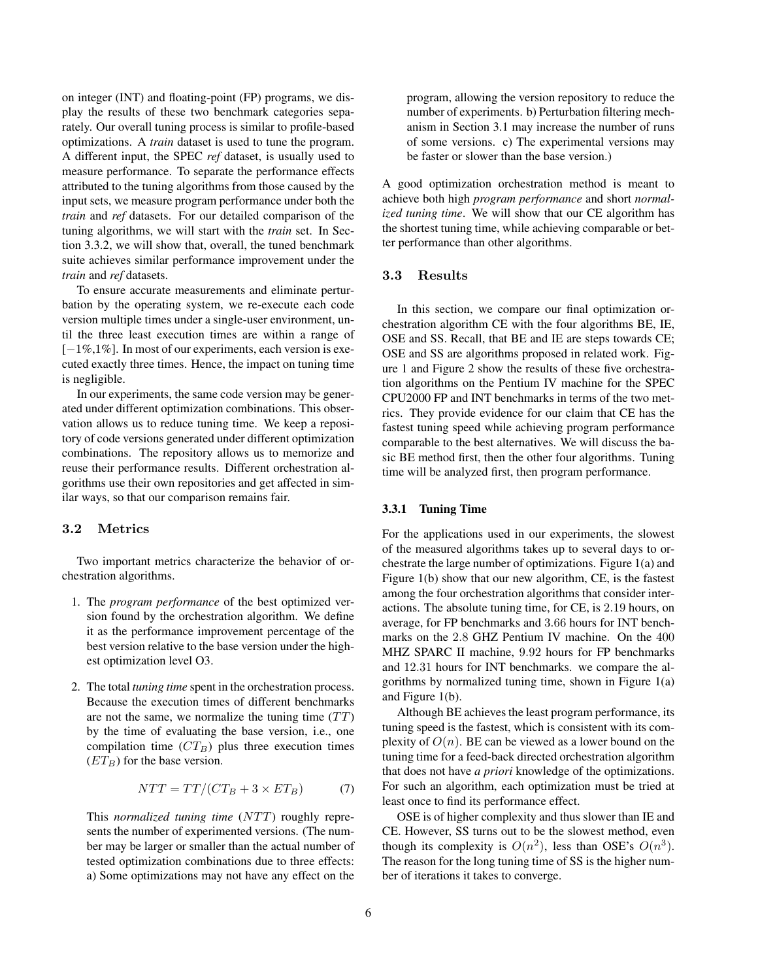on integer (INT) and floating-point (FP) programs, we display the results of these two benchmark categories separately. Our overall tuning process is similar to profile-based optimizations. A *train* dataset is used to tune the program. A different input, the SPEC *ref* dataset, is usually used to measure performance. To separate the performance effects attributed to the tuning algorithms from those caused by the input sets, we measure program performance under both the *train* and *ref* datasets. For our detailed comparison of the tuning algorithms, we will start with the *train* set. In Section 3.3.2, we will show that, overall, the tuned benchmark suite achieves similar performance improvement under the *train* and *ref* datasets.

To ensure accurate measurements and eliminate perturbation by the operating system, we re-execute each code version multiple times under a single-user environment, until the three least execution times are within a range of [−1%,1%]. In most of our experiments, each version is executed exactly three times. Hence, the impact on tuning time is negligible.

In our experiments, the same code version may be generated under different optimization combinations. This observation allows us to reduce tuning time. We keep a repository of code versions generated under different optimization combinations. The repository allows us to memorize and reuse their performance results. Different orchestration algorithms use their own repositories and get affected in similar ways, so that our comparison remains fair.

Two important metrics characterize the behavior of orchestration algorithms.

- 1. The *program performance* of the best optimized version found by the orchestration algorithm. We define it as the performance improvement percentage of the best version relative to the base version under the highest optimization level O3.
- 2. The total *tuning time* spent in the orchestration process. Because the execution times of different benchmarks are not the same, we normalize the tuning time  $(TT)$ by the time of evaluating the base version, i.e., one compilation time  $(CT_B)$  plus three execution times  $(ET_B)$  for the base version.

$$
NTT = TT/(CT_B + 3 \times ET_B)
$$
 (7)

This *normalized tuning time* (NTT) roughly represents the number of experimented versions. (The number may be larger or smaller than the actual number of tested optimization combinations due to three effects: a) Some optimizations may not have any effect on the program, allowing the version repository to reduce the number of experiments. b) Perturbation filtering mechanism in Section 3.1 may increase the number of runs of some versions. c) The experimental versions may be faster or slower than the base version.)

A good optimization orchestration method is meant to achieve both high *program performance* and short *normalized tuning time*. We will show that our CE algorithm has the shortest tuning time, while achieving comparable or better performance than other algorithms.

### $3.3$

In this section, we compare our final optimization orchestration algorithm CE with the four algorithms BE, IE, OSE and SS. Recall, that BE and IE are steps towards CE; OSE and SS are algorithms proposed in related work. Figure 1 and Figure 2 show the results of these five orchestration algorithms on the Pentium IV machine for the SPEC CPU2000 FP and INT benchmarks in terms of the two metrics. They provide evidence for our claim that CE has the fastest tuning speed while achieving program performance comparable to the best alternatives. We will discuss the basic BE method first, then the other four algorithms. Tuning time will be analyzed first, then program performance.

### **3.3.1 Tuning Time**

For the applications used in our experiments, the slowest of the measured algorithms takes up to several days to orchestrate the large number of optimizations. Figure 1(a) and Figure 1(b) show that our new algorithm, CE, is the fastest among the four orchestration algorithms that consider interactions. The absolute tuning time, for CE, is 2.19 hours, on average, for FP benchmarks and 3.66 hours for INT benchmarks on the 2.8 GHZ Pentium IV machine. On the 400 MHZ SPARC II machine, 9.92 hours for FP benchmarks and 12.31 hours for INT benchmarks. we compare the algorithms by normalized tuning time, shown in Figure 1(a) and Figure 1(b).

Although BE achieves the least program performance, its tuning speed is the fastest, which is consistent with its complexity of  $O(n)$ . BE can be viewed as a lower bound on the tuning time for a feed-back directed orchestration algorithm that does not have *a priori* knowledge of the optimizations. For such an algorithm, each optimization must be tried at least once to find its performance effect.

OSE is of higher complexity and thus slower than IE and CE. However, SS turns out to be the slowest method, even though its complexity is  $O(n^2)$ , less than OSE's  $O(n^3)$ . The reason for the long tuning time of SS is the higher number of iterations it takes to converge.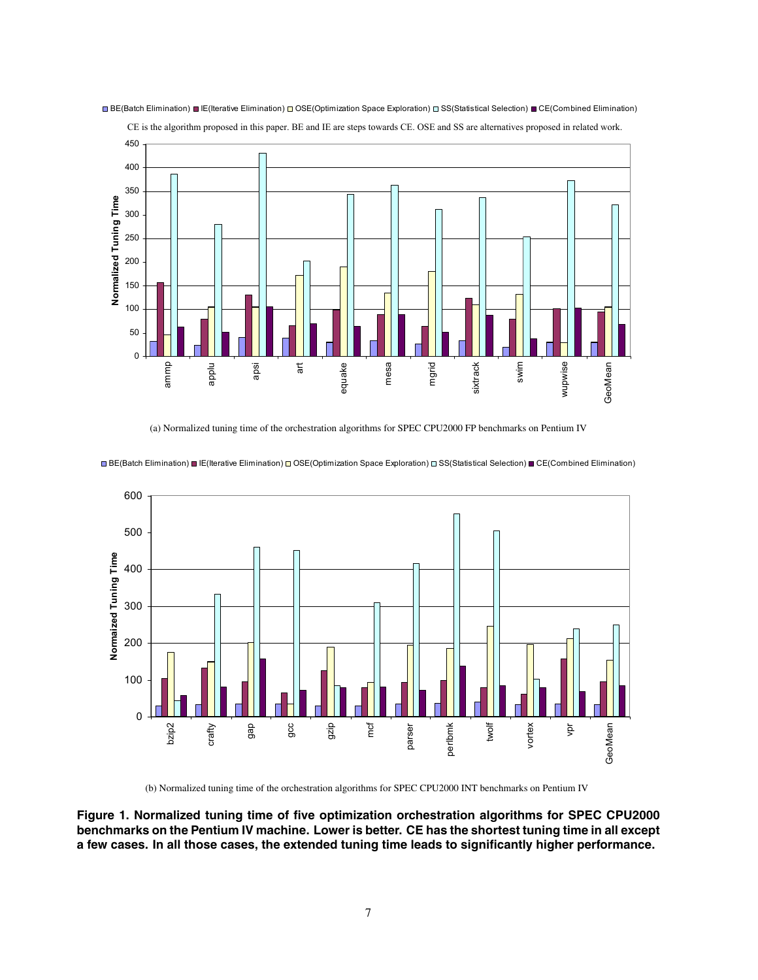

■ BE(Batch Elimination) ■ IE(Iterative Elimination) □ OSE(Optimization Space Exploration) □ SS(Statistical Selection) ■ CE(Combined Elimination)

CE is the algorithm proposed in this paper. BE and IE are steps towards CE. OSE and SS are alternatives proposed in related work.

(a) Normalized tuning time of the orchestration algorithms for SPEC CPU2000 FP benchmarks on Pentium IV



■BE(Batch Elimination) ■ IE(Iterative Elimination) □ OSE(Optimization Space Exploration) □ SS(Statistical Selection) ■ CE(Combined Elimination)

(b) Normalized tuning time of the orchestration algorithms for SPEC CPU2000 INT benchmarks on Pentium IV

**Figure 1. Normalized tuning time of five optimization orchestration algorithms for SPEC CPU2000 benchmarks on the Pentium IV machine. Lower is better. CE has the shortest tuning time in all except a few cases. In all those cases, the extended tuning time leads to significantly higher performance.**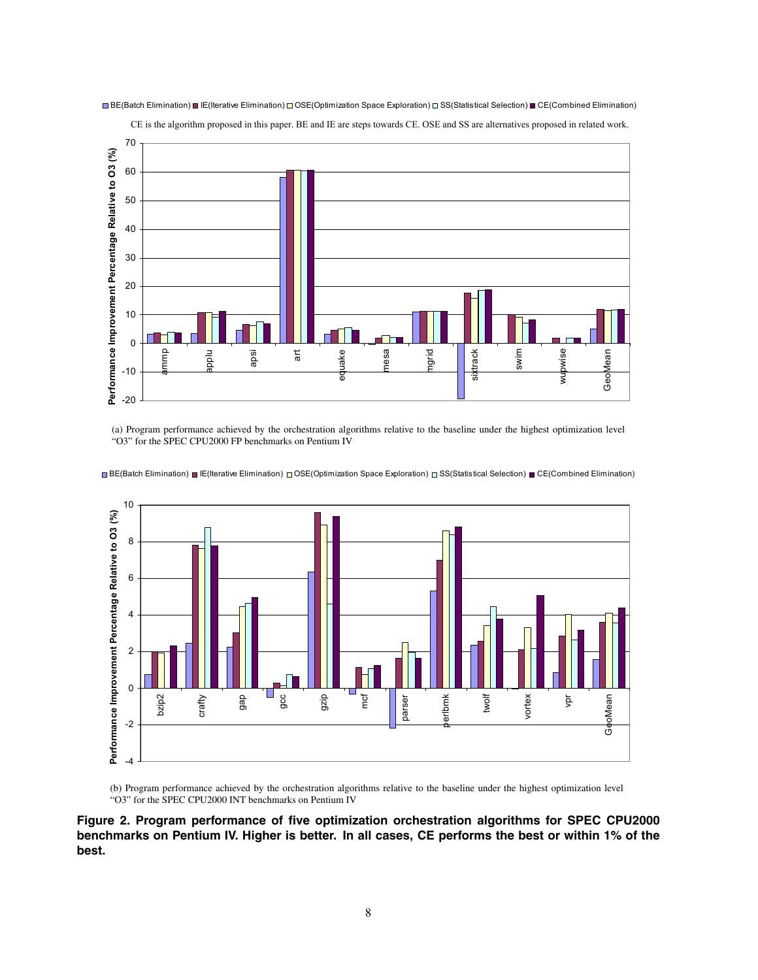

■ BE(Batch Elimination) ■ IE(Iterative Elimination) □ OSE(Optimization Space Exploration) □ SS(Statistical Selection) ■ CE(Combined Elimination)

CE is the algorithm proposed in this paper. BE and IE are steps towards CE. OSE and SS are alternatives proposed in related work.

(a) Program performance achieved by the orchestration algorithms relative to the baseline under the highest optimization level "O3" for the SPEC CPU2000 FP benchmarks on Pentium IV

10 Performance Improvement Percentage Relative to O3 (%) **Performance Improvement Percentage Relative to O3 (%)** 8 6 4 2 0 M. vortex gap twolf bzip2 crafty gcc gzip mcf parser perlbmk vpr GeoMean GeoMean -2 -4

■ BE(Batch Elimination) ■ IE(Iterative Elimination) © OSE(Optimization Space Exploration) □ SS(Statistical Selection) ■ CE(Combined Elimination)

(b) Program performance achieved by the orchestration algorithms relative to the baseline under the highest optimization level "O3" for the SPEC CPU2000 INT benchmarks on Pentium IV

**Figure 2. Program performance of five optimization orchestration algorithms for SPEC CPU2000 benchmarks on Pentium IV. Higher is better. In all cases, CE performs the best or within 1% of the best.**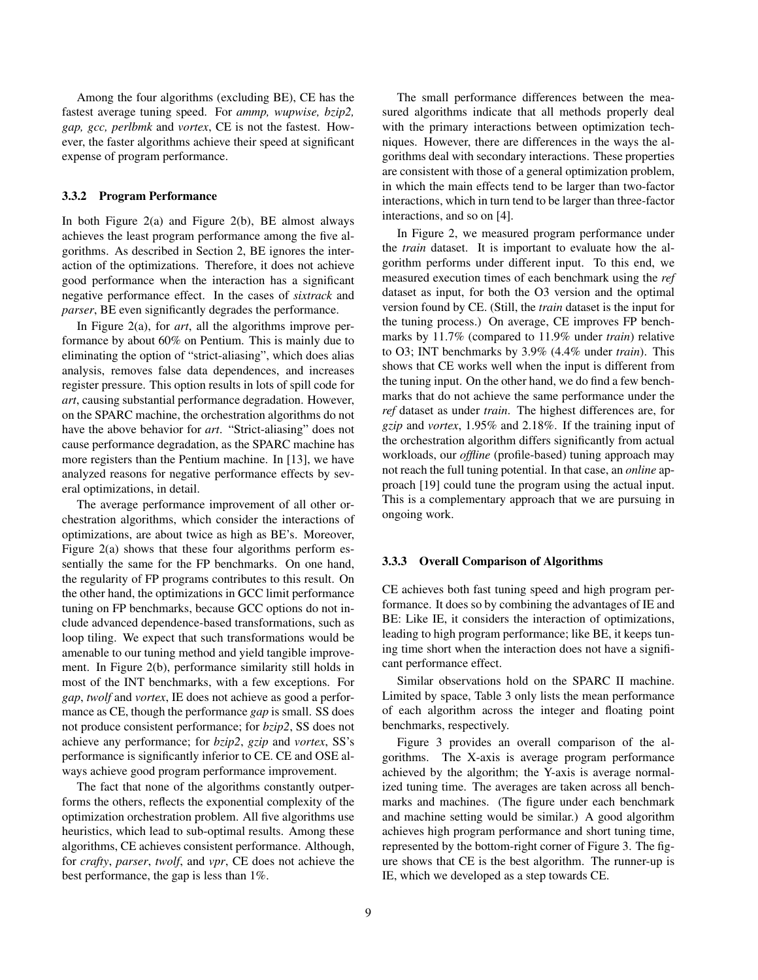Among the four algorithms (excluding BE), CE has the fastest average tuning speed. For *ammp, wupwise, bzip2, gap, gcc, perlbmk* and *vortex*, CE is not the fastest. However, the faster algorithms achieve their speed at significant expense of program performance.

### **3.3.2 Program Performance**

In both Figure  $2(a)$  and Figure  $2(b)$ , BE almost always achieves the least program performance among the five algorithms. As described in Section 2, BE ignores the interaction of the optimizations. Therefore, it does not achieve good performance when the interaction has a significant negative performance effect. In the cases of *sixtrack* and *parser*, BE even significantly degrades the performance.

In Figure 2(a), for *art*, all the algorithms improve performance by about 60% on Pentium. This is mainly due to eliminating the option of "strict-aliasing", which does alias analysis, removes false data dependences, and increases register pressure. This option results in lots of spill code for *art*, causing substantial performance degradation. However, on the SPARC machine, the orchestration algorithms do not have the above behavior for *art*. "Strict-aliasing" does not cause performance degradation, as the SPARC machine has more registers than the Pentium machine. In [13], we have analyzed reasons for negative performance effects by several optimizations, in detail.

The average performance improvement of all other orchestration algorithms, which consider the interactions of optimizations, are about twice as high as BE's. Moreover, Figure 2(a) shows that these four algorithms perform essentially the same for the FP benchmarks. On one hand, the regularity of FP programs contributes to this result. On the other hand, the optimizations in GCC limit performance tuning on FP benchmarks, because GCC options do not include advanced dependence-based transformations, such as loop tiling. We expect that such transformations would be amenable to our tuning method and yield tangible improvement. In Figure 2(b), performance similarity still holds in most of the INT benchmarks, with a few exceptions. For *gap*, *twolf* and *vortex*, IE does not achieve as good a performance as CE, though the performance *gap* is small. SS does not produce consistent performance; for *bzip2*, SS does not achieve any performance; for *bzip2*, *gzip* and *vortex*, SS's performance is significantly inferior to CE. CE and OSE always achieve good program performance improvement.

The fact that none of the algorithms constantly outperforms the others, reflects the exponential complexity of the optimization orchestration problem. All five algorithms use heuristics, which lead to sub-optimal results. Among these algorithms, CE achieves consistent performance. Although, for *crafty*, *parser*, *twolf*, and *vpr*, CE does not achieve the best performance, the gap is less than 1%.

The small performance differences between the measured algorithms indicate that all methods properly deal with the primary interactions between optimization techniques. However, there are differences in the ways the algorithms deal with secondary interactions. These properties are consistent with those of a general optimization problem, in which the main effects tend to be larger than two-factor interactions, which in turn tend to be larger than three-factor interactions, and so on [4].

In Figure 2, we measured program performance under the *train* dataset. It is important to evaluate how the algorithm performs under different input. To this end, we measured execution times of each benchmark using the *ref* dataset as input, for both the O3 version and the optimal version found by CE. (Still, the *train* dataset is the input for the tuning process.) On average, CE improves FP benchmarks by 11.7% (compared to 11.9% under *train*) relative to O3; INT benchmarks by 3.9% (4.4% under *train*). This shows that CE works well when the input is different from the tuning input. On the other hand, we do find a few benchmarks that do not achieve the same performance under the *ref* dataset as under *train*. The highest differences are, for *gzip* and *vortex*, 1.95% and 2.18%. If the training input of the orchestration algorithm differs significantly from actual workloads, our *offline* (profile-based) tuning approach may not reach the full tuning potential. In that case, an *online* approach [19] could tune the program using the actual input. This is a complementary approach that we are pursuing in ongoing work.

### **3.3.3 Overall Comparison of Algorithms**

CE achieves both fast tuning speed and high program performance. It does so by combining the advantages of IE and BE: Like IE, it considers the interaction of optimizations, leading to high program performance; like BE, it keeps tuning time short when the interaction does not have a significant performance effect.

Similar observations hold on the SPARC II machine. Limited by space, Table 3 only lists the mean performance of each algorithm across the integer and floating point benchmarks, respectively.

Figure 3 provides an overall comparison of the algorithms. The X-axis is average program performance achieved by the algorithm; the Y-axis is average normalized tuning time. The averages are taken across all benchmarks and machines. (The figure under each benchmark and machine setting would be similar.) A good algorithm achieves high program performance and short tuning time, represented by the bottom-right corner of Figure 3. The figure shows that CE is the best algorithm. The runner-up is IE, which we developed as a step towards CE.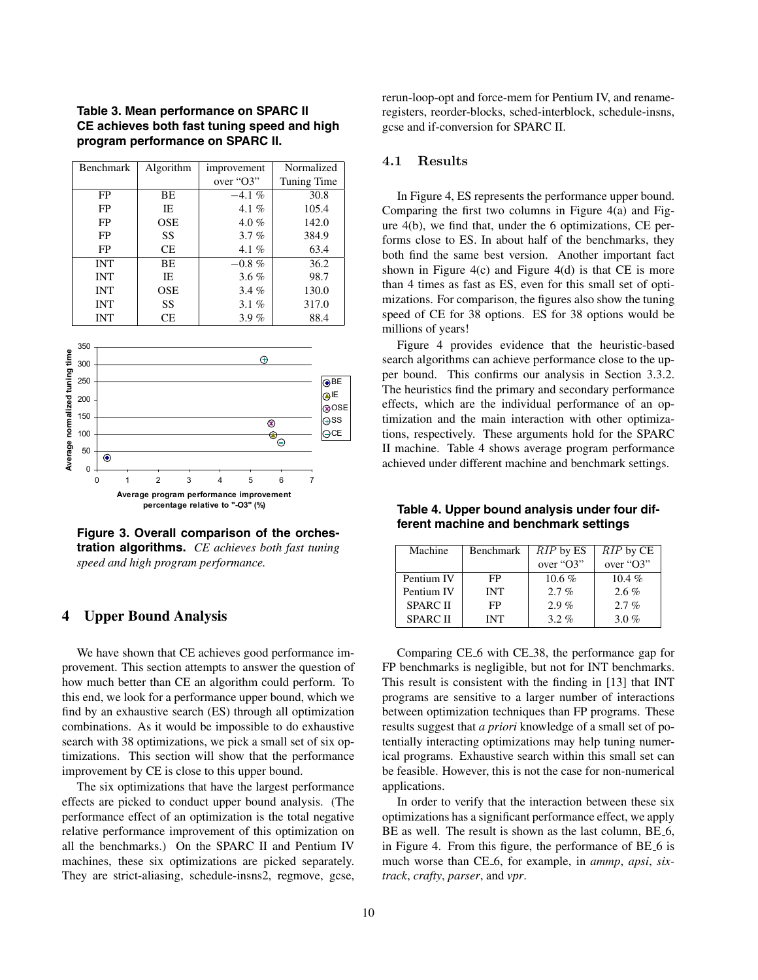**Table 3. Mean performance on SPARC II CE achieves both fast tuning speed and high program performance on SPARC II.**

| Benchmark  | Algorithm  | improvement | Normalized  |
|------------|------------|-------------|-------------|
|            |            | over "O3"   | Tuning Time |
| FP         | BE         | $-4.1\%$    | 30.8        |
| FP         | IE         | 4.1 $%$     | 105.4       |
| FP         | <b>OSE</b> | $4.0\%$     | 142.0       |
| FP         | SS         | 3.7%        | 384.9       |
| FP         | CE         | 4.1 $%$     | 63.4        |
| <b>INT</b> | BE         | $-0.8 \%$   | 36.2        |
| <b>INT</b> | IE         | $3.6\%$     | 98.7        |
| <b>INT</b> | <b>OSE</b> | $3.4\%$     | 130.0       |
| <b>INT</b> | SS         | 3.1%        | 317.0       |
| <b>INT</b> | CЕ         | 3.9%        | 88.4        |



**Figure 3. Overall comparison of the orchestration algorithms.** *CE achieves both fast tuning speed and high program performance.*

### **4 Upper Bound Analysis**

We have shown that CE achieves good performance improvement. This section attempts to answer the question of how much better than CE an algorithm could perform. To this end, we look for a performance upper bound, which we find by an exhaustive search (ES) through all optimization combinations. As it would be impossible to do exhaustive search with 38 optimizations, we pick a small set of six optimizations. This section will show that the performance improvement by CE is close to this upper bound.

The six optimizations that have the largest performance effects are picked to conduct upper bound analysis. (The performance effect of an optimization is the total negative relative performance improvement of this optimization on all the benchmarks.) On the SPARC II and Pentium IV machines, these six optimizations are picked separately. They are strict-aliasing, schedule-insns2, regmove, gcse,

rerun-loop-opt and force-mem for Pentium IV, and renameregisters, reorder-blocks, sched-interblock, schedule-insns, gcse and if-conversion for SPARC II.

#### $4.1$ Results

In Figure 4, ES represents the performance upper bound. Comparing the first two columns in Figure 4(a) and Figure 4(b), we find that, under the 6 optimizations, CE performs close to ES. In about half of the benchmarks, they both find the same best version. Another important fact shown in Figure  $4(c)$  and Figure  $4(d)$  is that CE is more than 4 times as fast as ES, even for this small set of optimizations. For comparison, the figures also show the tuning speed of CE for 38 options. ES for 38 options would be millions of years!

Figure 4 provides evidence that the heuristic-based search algorithms can achieve performance close to the upper bound. This confirms our analysis in Section 3.3.2. The heuristics find the primary and secondary performance effects, which are the individual performance of an optimization and the main interaction with other optimizations, respectively. These arguments hold for the SPARC II machine. Table 4 shows average program performance achieved under different machine and benchmark settings.

**Table 4. Upper bound analysis under four different machine and benchmark settings**

| Machine        | Benchmark  | RIP by ES | $RIP$ by $CE$ |
|----------------|------------|-----------|---------------|
|                |            | over "O3" | over "O3"     |
| Pentium IV     | FP         | $10.6 \%$ | $10.4\%$      |
| Pentium IV     | <b>INT</b> | $2.7\%$   | $2.6\%$       |
| <b>SPARCII</b> | FP         | $2.9\%$   | $2.7\%$       |
| <b>SPARCII</b> | <b>INT</b> | $3.2\%$   | 3.0 $%$       |

Comparing CE 6 with CE 38, the performance gap for FP benchmarks is negligible, but not for INT benchmarks. This result is consistent with the finding in [13] that INT programs are sensitive to a larger number of interactions between optimization techniques than FP programs. These results suggest that *a priori* knowledge of a small set of potentially interacting optimizations may help tuning numerical programs. Exhaustive search within this small set can be feasible. However, this is not the case for non-numerical applications.

In order to verify that the interaction between these six optimizations has a significant performance effect, we apply BE as well. The result is shown as the last column, BE<sub>-6</sub>, in Figure 4. From this figure, the performance of BE 6 is much worse than CE 6, for example, in *ammp*, *apsi*, *sixtrack*, *crafty*, *parser*, and *vpr*.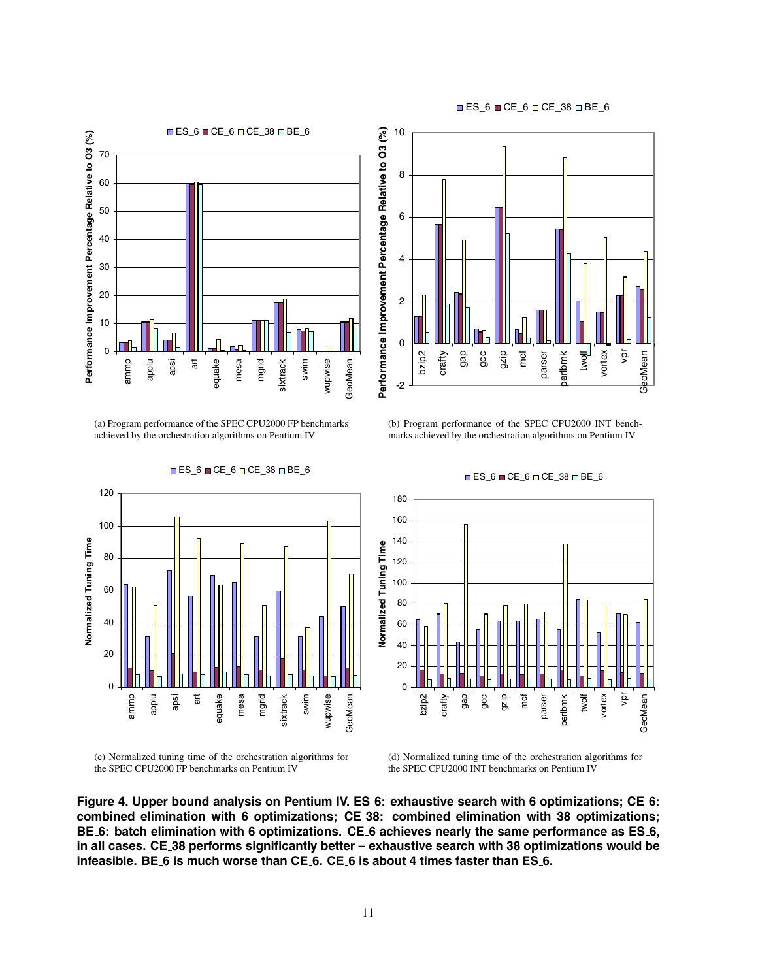



(a) Program performance of the SPEC CPU2000 FP benchmarks achieved by the orchestration algorithms on Pentium IV

 $\Box$  ES\_6  $\Box$  CE\_6  $\Box$  CE\_38  $\Box$  BE\_6



<sup>(</sup>c) Normalized tuning time of the orchestration algorithms for the SPEC CPU2000 FP benchmarks on Pentium IV



(b) Program performance of the SPEC CPU2000 INT benchmarks achieved by the orchestration algorithms on Pentium IV



#### **■ES\_6 ■CE\_6 □ CE\_38 □ BE\_6**

(d) Normalized tuning time of the orchestration algorithms for the SPEC CPU2000 INT benchmarks on Pentium IV

**Figure 4. Upper bound analysis on Pentium IV. ES 6: exhaustive search with 6 optimizations; CE 6: combined elimination with 6 optimizations; CE 38: combined elimination with 38 optimizations; BE 6: batch elimination with 6 optimizations. CE 6 achieves nearly the same performance as ES 6, in all cases. CE 38 performs significantly better – exhaustive search with 38 optimizations would be infeasible. BE 6 is much worse than CE 6. CE 6 is about 4 times faster than ES 6.**